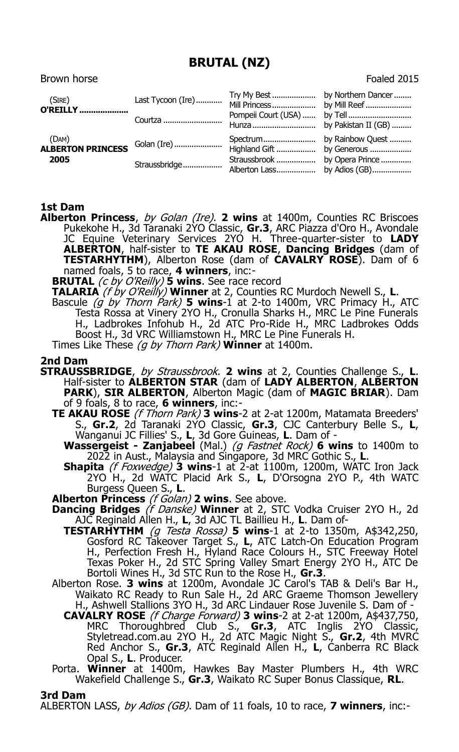## **BRUTAL (NZ)**

Brown horse **Foaled 2015** 

| (SIRE)<br><b>O'REILLY</b>          | Courtza                      |                                                              |  |
|------------------------------------|------------------------------|--------------------------------------------------------------|--|
| (DAM)<br>ALBERTON PRINCESS<br>2005 | Golan (Ire)<br>Straussbridge | Straussbrook  by Opera Prince<br>Alberton Lass by Adios (GB) |  |

## **1st Dam**

- **Alberton Princess**, by Golan (Ire). **2 wins** at 1400m, Counties RC Briscoes Pukekohe H., 3d Taranaki 2YO Classic, **Gr.3**, ARC Piazza d'Oro H., Avondale JC Equine Veterinary Services 2YO H. Three-quarter-sister to **LADY ALBERTON**, half-sister to **TE AKAU ROSE**, **Dancing Bridges** (dam of **TESTARHYTHM**), Alberton Rose (dam of **CAVALRY ROSE**). Dam of 6 named foals, 5 to race, **4 winners**, inc:-
	- **BRUTAL** (c by O'Reilly) **5 wins**. See race record
	- **TALARIA** (f by O'Reilly) **Winner** at 2, Counties RC Murdoch Newell S., **L**.
	- Bascule (g by Thorn Park) **5 wins**-1 at 2-to 1400m, VRC Primacy H., ATC Testa Rossa at Vinery 2YO H., Cronulla Sharks H., MRC Le Pine Funerals H., Ladbrokes Infohub H., 2d ATC Pro-Ride H., MRC Ladbrokes Odds Boost H., 3d VRC Williamstown H., MRC Le Pine Funerals H. Times Like These (g by Thorn Park) **Winner** at 1400m.

## **2nd Dam**

- **STRAUSSBRIDGE**, by Straussbrook. **2 wins** at 2, Counties Challenge S., **L**. Half-sister to **ALBERTON STAR** (dam of **LADY ALBERTON**, **ALBERTON PARK**), **SIR ALBERTON**, Alberton Magic (dam of **MAGIC BRIAR**). Dam of 9 foals, 8 to race, **6 winners**, inc:-
	- **TE AKAU ROSE** (f Thorn Park) **3 wins**-2 at 2-at 1200m, Matamata Breeders' S., **Gr.2**, 2d Taranaki 2YO Classic, **Gr.3**, CJC Canterbury Belle S., **L**, Wanganui JC Fillies' S., **L**, 3d Gore Guineas, **L**. Dam of -
		- **Wassergeist - Zanjabeel** (Mal.) (g Fastnet Rock) **6 wins** to 1400m to 2022 in Aust., Malaysia and Singapore, 3d MRC Gothic S., **L**.
		- **Shapita** (f Foxwedge) **3 wins**-1 at 2-at 1100m, 1200m, WATC Iron Jack 2YO H., 2d WATC Placid Ark S., **L**, D'Orsogna 2YO P., 4th WATC Burgess Queen S., **L**.
	- **Alberton Princess** (f Golan) **2 wins**. See above.
	- **Dancing Bridges** (f Danske) **Winner** at 2, STC Vodka Cruiser 2YO H., 2d AJC Reginald Allen H., **L**, 3d AJC TL Baillieu H., **L**. Dam of-
		- **TESTARHYTHM** (g Testa Rossa) **5 wins**-1 at 2-to 1350m, A\$342,250, Gosford RC Takeover Target S., **L**, ATC Latch-On Education Program H., Perfection Fresh H., Hyland Race Colours H., STC Freeway Hotel Texas Poker H., 2d STC Spring Valley Smart Energy 2YO H., ATC De Bortoli Wines H., 3d STC Run to the Rose H., **Gr.3**.
	- Alberton Rose. **3 wins** at 1200m, Avondale JC Carol's TAB & Deli's Bar H., Waikato RC Ready to Run Sale H., 2d ARC Graeme Thomson Jewellery H., Ashwell Stallions 3YO H., 3d ARC Lindauer Rose Juvenile S. Dam of -
		- **CAVALRY ROSE** (f Charge Forward) **3 wins**-2 at 2-at 1200m, A\$437,750, MRC Thoroughbred Club S., **Gr.3**, ATC Inglis 2YO Classic, Styletread.com.au 2YO H., 2d ATC Magic Night S., **Gr.2**, 4th MVRC Red Anchor S., **Gr.3**, ATC Reginald Allen H., **L**, Canberra RC Black Opal S., **L**. Producer.
	- Porta. **Winner** at 1400m, Hawkes Bay Master Plumbers H., 4th WRC Wakefield Challenge S., **Gr.3**, Waikato RC Super Bonus Classique, **RL**.

## **3rd Dam**

ALBERTON LASS, by Adios (GB). Dam of 11 foals, 10 to race, **7 winners**, inc:-